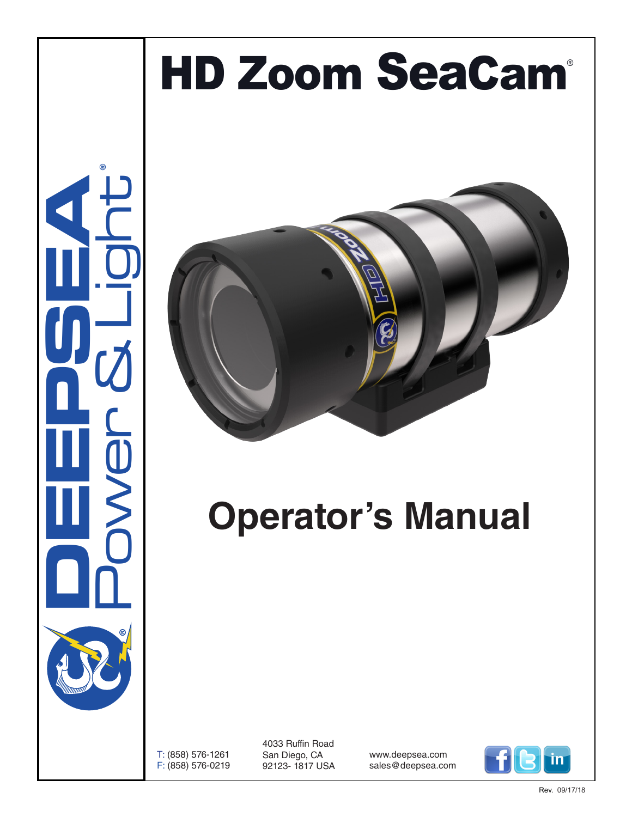# HD Zoom SeaCam®





# **Operator's Manual**

T: (858) 576-1261 F: (858) 576-0219

4033 Ruffin Road San Diego, CA 92123- 1817 USA

www.deepsea.com sales@deepsea.com

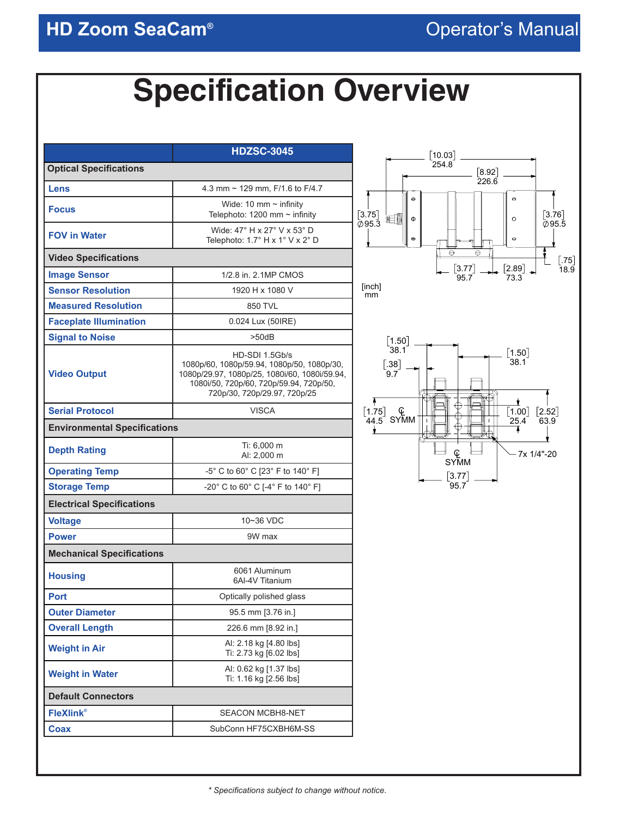## **Specification Overview**

|                                     | <b>HDZSC-3045</b>                                                                                                                                                                        |
|-------------------------------------|------------------------------------------------------------------------------------------------------------------------------------------------------------------------------------------|
| <b>Optical Specifications</b>       |                                                                                                                                                                                          |
| Lens                                | 4.3 mm $\sim$ 129 mm, F/1.6 to F/4.7                                                                                                                                                     |
| <b>Focus</b>                        | Wide: 10 mm $\sim$ infinity<br>Telephoto: 1200 mm $\sim$ infinity                                                                                                                        |
| <b>FOV in Water</b>                 | Wide: 47° H x 27° V x 53° D<br>Telephoto: 1.7° H x 1° V x 2° D                                                                                                                           |
| <b>Video Specifications</b>         |                                                                                                                                                                                          |
| <b>Image Sensor</b>                 | 1/2.8 in. 2.1MP CMOS                                                                                                                                                                     |
| <b>Sensor Resolution</b>            | 1920 H x 1080 V                                                                                                                                                                          |
| <b>Measured Resolution</b>          | 850 TVL                                                                                                                                                                                  |
| <b>Faceplate Illumination</b>       | 0.024 Lux (50IRE)                                                                                                                                                                        |
| <b>Signal to Noise</b>              | $>50$ d $B$                                                                                                                                                                              |
| <b>Video Output</b>                 | HD-SDI 1.5Gb/s<br>1080p/60, 1080p/59.94, 1080p/50, 1080p/30,<br>1080p/29.97, 1080p/25, 1080i/60, 1080i/59.94,<br>1080i/50, 720p/60, 720p/59.94, 720p/50,<br>720p/30, 720p/29.97, 720p/25 |
| <b>Serial Protocol</b>              | <b>VISCA</b>                                                                                                                                                                             |
| <b>Environmental Specifications</b> |                                                                                                                                                                                          |
| <b>Depth Rating</b>                 | Ti: 6,000 m<br>AI: 2,000 m                                                                                                                                                               |
| <b>Operating Temp</b>               | -5° C to 60° C [23° F to 140° F]                                                                                                                                                         |
| <b>Storage Temp</b>                 | -20° C to 60° C [-4° F to 140° F]                                                                                                                                                        |
| <b>Electrical Specifications</b>    |                                                                                                                                                                                          |
| <b>Voltage</b>                      | 10~36 VDC                                                                                                                                                                                |
| <b>Power</b>                        | 9W max                                                                                                                                                                                   |
| <b>Mechanical Specifications</b>    |                                                                                                                                                                                          |
| <b>Housing</b>                      | 6061 Aluminum<br>6AI-4V Titanium                                                                                                                                                         |
| <b>Port</b>                         | Optically polished glass                                                                                                                                                                 |
| <b>Outer Diameter</b>               | 95.5 mm [3.76 in.]                                                                                                                                                                       |
| <b>Overall Length</b>               | 226.6 mm [8.92 in.]                                                                                                                                                                      |
| <b>Weight in Air</b>                | Al: 2.18 kg [4.80 lbs]<br>Ti: 2.73 kg [6.02 lbs]                                                                                                                                         |
| <b>Weight in Water</b>              | Al: 0.62 kg [1.37 lbs]<br>Ti: 1.16 kg [2.56 lbs]                                                                                                                                         |
| <b>Default Connectors</b>           |                                                                                                                                                                                          |
| <b>FleXlink®</b>                    | <b>SEACON MCBH8-NET</b>                                                                                                                                                                  |
| <b>Coax</b>                         | SubConn HF75CXBH6M-SS                                                                                                                                                                    |



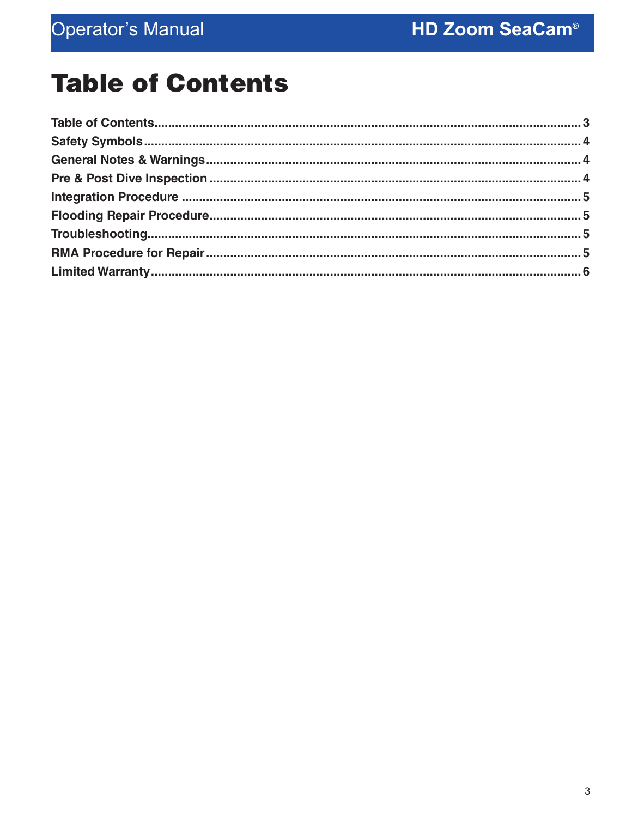## **Table of Contents**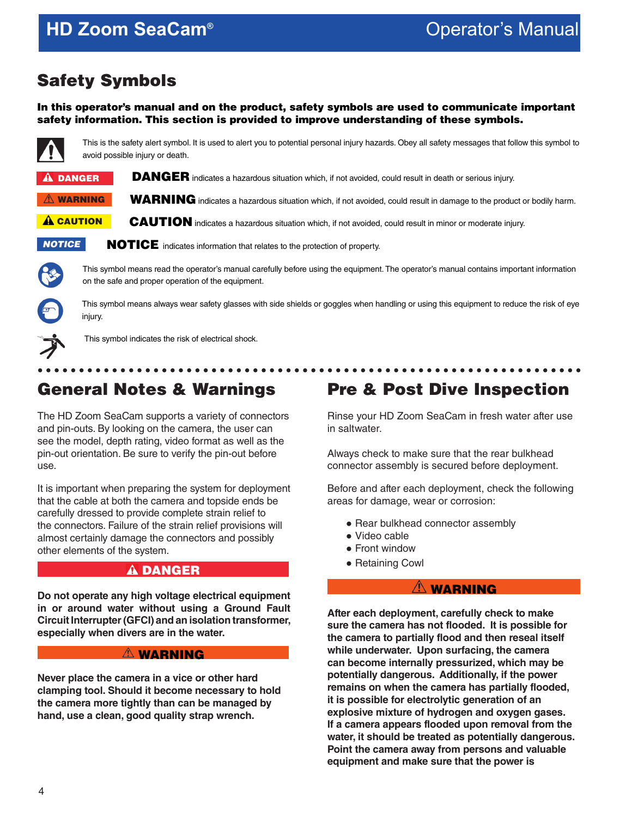## <span id="page-3-0"></span>**HD Zoom SeaCam®**

## Safety Symbols

In this operator's manual and on the product, safety symbols are used to communicate important safety information. This section is provided to improve understanding of these symbols.



This is the safety alert symbol. It is used to alert you to potential personal injury hazards. Obey all safety messages that follow this symbol to avoid possible injury or death.

| <b>A DANGER</b>   | <b>DANGER</b> indicates a hazardous situation which, if not avoided, could result in death or serious injury.               |
|-------------------|-----------------------------------------------------------------------------------------------------------------------------|
| $\hat{A}$ WARNING | <b>WARNING</b> indicates a hazardous situation which, if not avoided, could result in damage to the product or bodily harm. |
| <b>A</b> CAUTION  | <b>CAUTION</b> indicates a hazardous situation which, if not avoided, could result in minor or moderate injury.             |
| <b>NOTICE</b>     | <b>NOTICE</b> indicates information that relates to the protection of property.                                             |



This symbol means read the operator's manual carefully before using the equipment. The operator's manual contains important information on the safe and proper operation of the equipment.



This symbol means always wear safety glasses with side shields or goggles when handling or using this equipment to reduce the risk of eye injury.



This symbol indicates the risk of electrical shock.

## General Notes & Warnings

The HD Zoom SeaCam supports a variety of connectors and pin-outs. By looking on the camera, the user can see the model, depth rating, video format as well as the pin-out orientation. Be sure to verify the pin-out before use.

It is important when preparing the system for deployment that the cable at both the camera and topside ends be carefully dressed to provide complete strain relief to the connectors. Failure of the strain relief provisions will almost certainly damage the connectors and possibly other elements of the system.

#### **A DANGER**

**Do not operate any high voltage electrical equipment in or around water without using a Ground Fault Circuit Interrupter (GFCI) and an isolation transformer, especially when divers are in the water.**

#### $\triangle$  WARNING

**Never place the camera in a vice or other hard clamping tool. Should it become necessary to hold the camera more tightly than can be managed by hand, use a clean, good quality strap wrench.**

## Pre & Post Dive Inspection

Rinse your HD Zoom SeaCam in fresh water after use in saltwater.

Always check to make sure that the rear bulkhead connector assembly is secured before deployment.

Before and after each deployment, check the following areas for damage, wear or corrosion:

- Rear bulkhead connector assembly
- Video cable
- Front window
- Retaining Cowl

#### **AN WARNING**

**After each deployment, carefully check to make sure the camera has not flooded. It is possible for the camera to partially flood and then reseal itself while underwater. Upon surfacing, the camera can become internally pressurized, which may be potentially dangerous. Additionally, if the power remains on when the camera has partially flooded, it is possible for electrolytic generation of an explosive mixture of hydrogen and oxygen gases. If a camera appears flooded upon removal from the water, it should be treated as potentially dangerous. Point the camera away from persons and valuable equipment and make sure that the power is**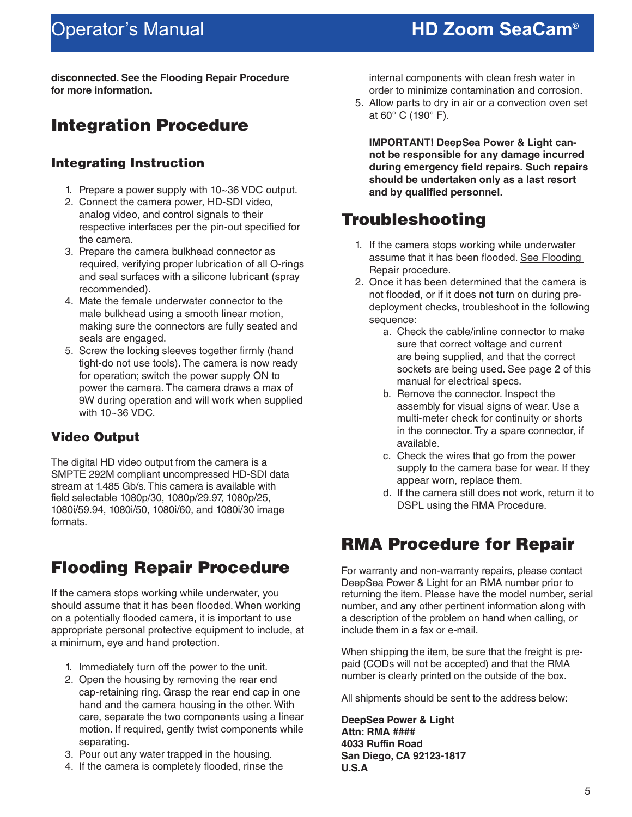## <span id="page-4-0"></span>Operator's Manual

## **HD Zoom SeaCam®**

**disconnected. See the Flooding Repair Procedure for more information.**

### Integration Procedure

#### Integrating Instruction

- 1. Prepare a power supply with 10~36 VDC output.
- 2. Connect the camera power, HD-SDI video, analog video, and control signals to their respective interfaces per the pin-out specified for the camera.
- 3. Prepare the camera bulkhead connector as required, verifying proper lubrication of all O-rings and seal surfaces with a silicone lubricant (spray recommended).
- 4. Mate the female underwater connector to the male bulkhead using a smooth linear motion, making sure the connectors are fully seated and seals are engaged.
- 5. Screw the locking sleeves together firmly (hand tight-do not use tools). The camera is now ready for operation; switch the power supply ON to power the camera. The camera draws a max of 9W during operation and will work when supplied with 10~36 VDC.

#### Video Output

The digital HD video output from the camera is a SMPTE 292M compliant uncompressed HD-SDI data stream at 1.485 Gb/s. This camera is available with field selectable 1080p/30, 1080p/29.97, 1080p/25, 1080i/59.94, 1080i/50, 1080i/60, and 1080i/30 image formats.

## Flooding Repair Procedure

If the camera stops working while underwater, you should assume that it has been flooded. When working on a potentially flooded camera, it is important to use appropriate personal protective equipment to include, at a minimum, eye and hand protection.

- 1. Immediately turn off the power to the unit.
- 2. Open the housing by removing the rear end cap-retaining ring. Grasp the rear end cap in one hand and the camera housing in the other. With care, separate the two components using a linear motion. If required, gently twist components while separating.
- 3. Pour out any water trapped in the housing.
- 4. If the camera is completely flooded, rinse the

internal components with clean fresh water in order to minimize contamination and corrosion.

5. Allow parts to dry in air or a convection oven set at 60° C (190° F).

**IMPORTANT! DeepSea Power & Light cannot be responsible for any damage incurred during emergency field repairs. Such repairs should be undertaken only as a last resort and by qualified personnel.**

## Troubleshooting

- 1. If the camera stops working while underwater assume that it has been flooded. See Flooding Repair procedure.
- 2. Once it has been determined that the camera is not flooded, or if it does not turn on during predeployment checks, troubleshoot in the following sequence:
	- a. Check the cable/inline connector to make sure that correct voltage and current are being supplied, and that the correct sockets are being used. See page 2 of this manual for electrical specs.
	- b. Remove the connector. Inspect the assembly for visual signs of wear. Use a multi-meter check for continuity or shorts in the connector. Try a spare connector, if available.
	- c. Check the wires that go from the power supply to the camera base for wear. If they appear worn, replace them.
	- d. If the camera still does not work, return it to DSPL using the RMA Procedure.

### RMA Procedure for Repair

For warranty and non-warranty repairs, please contact DeepSea Power & Light for an RMA number prior to returning the item. Please have the model number, serial number, and any other pertinent information along with a description of the problem on hand when calling, or include them in a fax or e-mail.

When shipping the item, be sure that the freight is prepaid (CODs will not be accepted) and that the RMA number is clearly printed on the outside of the box.

All shipments should be sent to the address below:

**DeepSea Power & Light Attn: RMA #### 4033 Ruffin Road San Diego, CA 92123-1817 U.S.A**